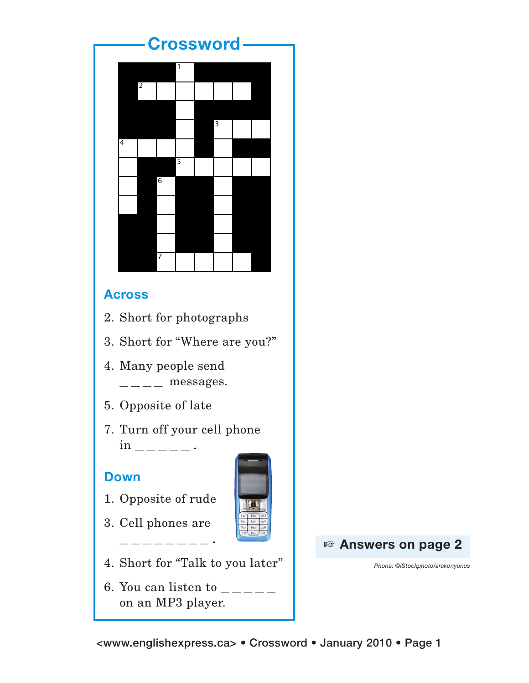## **Crossword**



## **Across**

2. Short for photographs

- 2. Short for photographs
- 3. Short for "Where are you?"  $\frac{1}{2}$ . Moreover, messages. 3. Cell phones are -------  $3.$  Short for "Where are you?"
- 7. Turn off your cell phone in \_\_\_\_\_ \_\_\_\_ messages. end and  $\blacksquare$ 4. Many people send
	- 5. Opposite of late
	- 7. Turn off your cell phone  $in$   $---$ .

## **Down**

- 1. Opposite of rude
- 3. Cell phones are

 $\frac{1}{2}$  , and the set of  $\frac{1}{2}$ 



- 4. Short for "Talk to you later"
- 6. You can listen to  $\frac{1}{2}$  =  $\frac{1}{2}$  =  $\frac{1}{2}$ on an MP3 player.

+ **Answers on page 2**

*Phone: ©iStockphoto/arakonyunus*